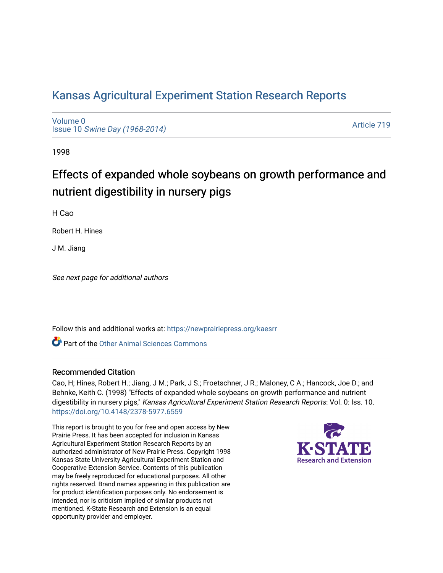## [Kansas Agricultural Experiment Station Research Reports](https://newprairiepress.org/kaesrr)

[Volume 0](https://newprairiepress.org/kaesrr/vol0) Issue 10 [Swine Day \(1968-2014\)](https://newprairiepress.org/kaesrr/vol0/iss10)

[Article 719](https://newprairiepress.org/kaesrr/vol0/iss10/719) 

1998

# Effects of expanded whole soybeans on growth performance and nutrient digestibility in nursery pigs

H Cao

Robert H. Hines

J M. Jiang

See next page for additional authors

Follow this and additional works at: [https://newprairiepress.org/kaesrr](https://newprairiepress.org/kaesrr?utm_source=newprairiepress.org%2Fkaesrr%2Fvol0%2Fiss10%2F719&utm_medium=PDF&utm_campaign=PDFCoverPages) 

Part of the [Other Animal Sciences Commons](http://network.bepress.com/hgg/discipline/82?utm_source=newprairiepress.org%2Fkaesrr%2Fvol0%2Fiss10%2F719&utm_medium=PDF&utm_campaign=PDFCoverPages)

#### Recommended Citation

Cao, H; Hines, Robert H.; Jiang, J M.; Park, J S.; Froetschner, J R.; Maloney, C A.; Hancock, Joe D.; and Behnke, Keith C. (1998) "Effects of expanded whole soybeans on growth performance and nutrient digestibility in nursery pigs," Kansas Agricultural Experiment Station Research Reports: Vol. 0: Iss. 10. <https://doi.org/10.4148/2378-5977.6559>

This report is brought to you for free and open access by New Prairie Press. It has been accepted for inclusion in Kansas Agricultural Experiment Station Research Reports by an authorized administrator of New Prairie Press. Copyright 1998 Kansas State University Agricultural Experiment Station and Cooperative Extension Service. Contents of this publication may be freely reproduced for educational purposes. All other rights reserved. Brand names appearing in this publication are for product identification purposes only. No endorsement is intended, nor is criticism implied of similar products not mentioned. K-State Research and Extension is an equal opportunity provider and employer.

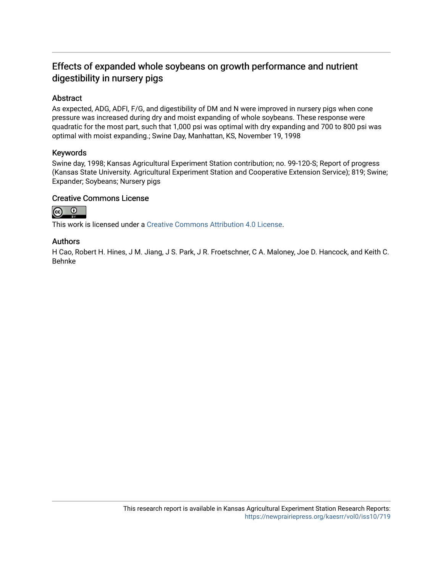### Effects of expanded whole soybeans on growth performance and nutrient digestibility in nursery pigs

#### Abstract

As expected, ADG, ADFI, F/G, and digestibility of DM and N were improved in nursery pigs when cone pressure was increased during dry and moist expanding of whole soybeans. These response were quadratic for the most part, such that 1,000 psi was optimal with dry expanding and 700 to 800 psi was optimal with moist expanding.; Swine Day, Manhattan, KS, November 19, 1998

#### Keywords

Swine day, 1998; Kansas Agricultural Experiment Station contribution; no. 99-120-S; Report of progress (Kansas State University. Agricultural Experiment Station and Cooperative Extension Service); 819; Swine; Expander; Soybeans; Nursery pigs

#### Creative Commons License



This work is licensed under a [Creative Commons Attribution 4.0 License](https://creativecommons.org/licenses/by/4.0/).

#### Authors

H Cao, Robert H. Hines, J M. Jiang, J S. Park, J R. Froetschner, C A. Maloney, Joe D. Hancock, and Keith C. Behnke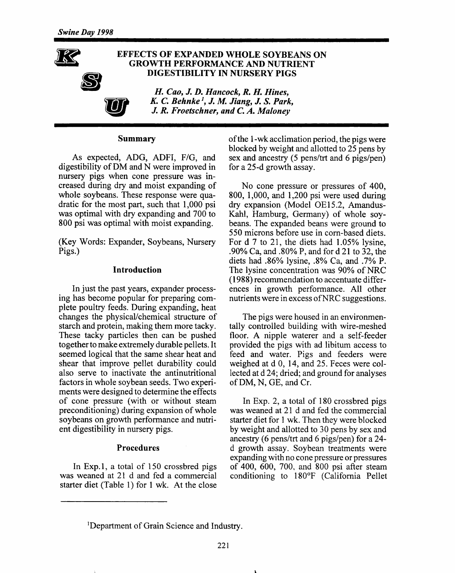#### **EFFECTS OF EXPANDED WHOLE SOYBEANS ON GROWTH PERFORMANCE AND NUTRIENT DIGESTIBILITY IN NURSERY PIGS**

H. Cao, J. D. Hancock, R. H. Hines, K. C. Behnke<sup>1</sup>, J. M. Jiang, J. S. Park, J. R. Froetschner, and C. A. Malonev

#### **Summary**

As expected, ADG, ADFI, F/G, and digestibility of DM and N were improved in nursery pigs when cone pressure was increased during dry and moist expanding of whole soybeans. These response were quadratic for the most part, such that 1,000 psi was optimal with dry expanding and 700 to 800 psi was optimal with moist expanding.

(Key Words: Expander, Soybeans, Nursery Pigs.)

#### Introduction

In just the past years, expander processing has become popular for preparing complete poultry feeds. During expanding, heat changes the physical/chemical structure of starch and protein, making them more tacky. These tacky particles then can be pushed together to make extremely durable pellets. It seemed logical that the same shear heat and shear that improve pellet durability could also serve to inactivate the antinutritional factors in whole soybean seeds. Two experiments were designed to determine the effects of cone pressure (with or without steam preconditioning) during expansion of whole soybeans on growth performance and nutrient digestibility in nursery pigs.

#### **Procedures**

In Exp.1, a total of 150 crossbred pigs was weaned at 21 d and fed a commercial starter diet (Table 1) for 1 wk. At the close of the 1-wk acclimation period, the pigs were blocked by weight and allotted to 25 pens by sex and ancestry (5 pens/trt and 6 pigs/pen) for a 25-d growth assay.

No cone pressure or pressures of 400, 800, 1,000, and 1,200 psi were used during dry expansion (Model OE15.2, Amandus-Kahl, Hamburg, Germany) of whole soybeans. The expanded beans were ground to 550 microns before use in corn-based diets. For d 7 to 21, the diets had 1.05% lysine, .90% Ca, and .80% P, and for d 21 to 32, the diets had  $.86\%$  lysine,  $.8\%$  Ca, and  $.7\%$  P. The lysine concentration was 90% of NRC (1988) recommendation to accentuate differences in growth performance. All other nutrients were in excess of NRC suggestions.

The pigs were housed in an environmentally controlled building with wire-meshed floor. A nipple waterer and a self-feeder provided the pigs with ad libitum access to feed and water. Pigs and feeders were weighed at d 0, 14, and 25. Feces were collected at d 24; dried; and ground for analyses of DM, N, GE, and Cr.

In Exp. 2, a total of 180 crossbred pigs was weaned at 21 d and fed the commercial starter diet for 1 wk. Then they were blocked by weight and allotted to 30 pens by sex and ancestry (6 pens/trt and 6 pigs/pen) for a 24d growth assay. Soybean treatments were expanding with no cone pressure or pressures of 400, 600, 700, and 800 psi after steam conditioning to 180°F (California Pellet

<sup>&</sup>lt;sup>1</sup>Department of Grain Science and Industry.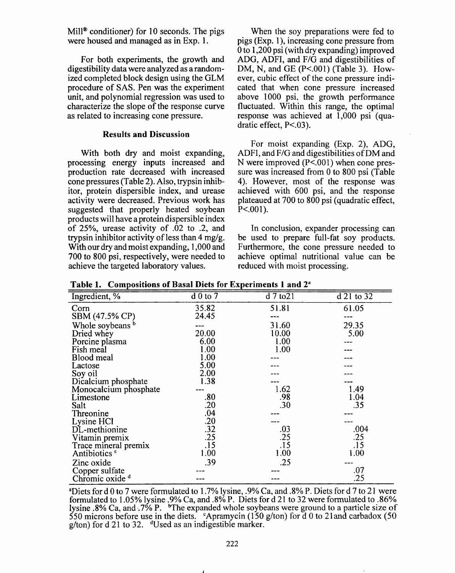$Mill<sup>®</sup>$  conditioner) for 10 seconds. The pigs were housed and managed as in Exp. 1.

For both experiments, the growth and digestibility data were analyzed as a randomized completed block design using the GLM procedure of SAS. Pen was the experiment unit, and polynomial regression was used to characterize the slope of the response curve as related to increasing cone pressure.

#### **Results and Discussion**

With both dry and moist expanding, processing energy inputs increased and production rate decreased with increased cone pressures (Table 2). Also, trypsin inhibitor, protein dispersible index, and urease activity were decreased. Previous work has suggested that properly heated soybean products will have a protein dispersible index of 25%, urease activity of 0.02 to 0.2, and trypsin inhibitor activity of less than 4 mg/g. With our dry and moist expanding, 1,000 and 700 to 800 psi, respectively, were needed to achieve the targeted laboratory values.

When the soy preparations were fed to pigs (Exp. 1), increasing cone pressure from  $0$  to 1.200 psi (with dry expanding) improved ADG, ADFI, and F/G and digestibilities of DM, N, and GE  $(P<.001)$  (Table 3). However, cubic effect of the cone pressure indicated that when cone pressure increased above 1000 psi, the growth performance fluctuated. Within this range, the optimal response was achieved at 1,000 psi (quadratic effect, P<.03).

For moist expanding (Exp. 2), ADG, ADFI, and F/G and digestibilities of DM and N were improved  $(P<.001)$  when cone pressure was increased from 0 to 800 psi (Table 4). However, most of the response was achieved with 600 psi, and the response plateaued at 700 to 800 psi (quadratic effect,  $P < 001$ ).

In conclusion, expander processing can be used to prepare full-fat soy products. Furthermore, the cone pressure needed to achieve optimal nutritional value can be reduced with moist processing.

| Ingredient, %                                | $\overline{d}$ 0 to 7 | $\overline{d}$ 7 to 21 | $\overline{d}$ 21 to 32 |
|----------------------------------------------|-----------------------|------------------------|-------------------------|
| Corn                                         | 35.82                 | 51.81                  | 61.05                   |
| SBM (47.5% CP)                               | 24.45                 |                        |                         |
| Whole soybeans b                             |                       | 31.60                  | 29.35                   |
| Dried whey                                   | 20.00                 | 10.00                  | 5.00                    |
| Porcine plasma                               | 6.00                  | 1.00                   |                         |
| Fish meal                                    | 1.00                  | 1.00                   |                         |
| <b>Blood</b> meal                            | 1.00                  |                        |                         |
| Lactose                                      | 5.00                  |                        |                         |
| Soy oil                                      | 2.00                  |                        |                         |
| Dicalcium phosphate<br>Monocalcium phosphate | 1.38                  |                        |                         |
|                                              |                       | 1.62                   | 1.49                    |
| Limestone                                    | .80                   | .98                    | 1.04                    |
| Salt                                         | .20                   | .30                    | .35                     |
| Threonine                                    | .04                   |                        |                         |
| Lysine HCl                                   | .20                   |                        |                         |
| DL-methionine                                | .32                   | .03                    | .004                    |
| Vitamin premix<br>Trace mineral premix       | .25                   | .25                    | .25                     |
|                                              | .15                   | .15                    | .15                     |
| Antibiotics <sup>c</sup>                     | 1.00                  | 1.00                   | 1.00                    |
| Zinc oxide                                   | .39                   | .25                    |                         |
| Copper sulfate<br>Chromic oxide d            |                       |                        | .07                     |
|                                              |                       |                        | .25                     |

Table 1. Compositions of Basal Diets for Experiments 1 and 2<sup>a</sup>

<sup>a</sup>Diets for d 0 to 7 were formulated to 1.7% lysine, .9% Ca, and .8% P. Diets for d 7 to 21 were formulated to 1.05% lysine .9% Ca, and .8% P. Diets for d 21 to 32 were formulated to .86% lysine .8% Ca, and .7% P. The expanded whole soybeans were ground to a particle size of 550 microns before use in the diets. "Apramycin (150 g/ton) for d 0 to 21 and carbadox (50 g/ton) for d 21 to 32. "Used as an indigestible marker.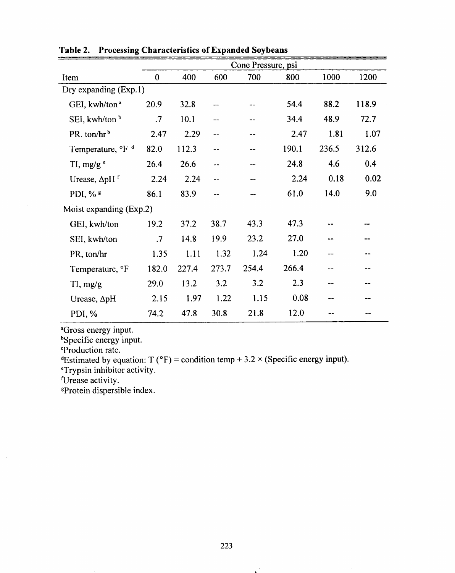|                                          | Cone Pressure, psi |       |       |       |       |       |       |  |
|------------------------------------------|--------------------|-------|-------|-------|-------|-------|-------|--|
| Item                                     | $\mathbf{0}$       | 400   | 600   | 700   | 800   | 1000  | 1200  |  |
| Dry expanding (Exp.1)                    |                    |       |       |       |       |       |       |  |
| GEI, kwh/ton <sup>a</sup>                | 20.9               | 32.8  |       |       | 54.4  | 88.2  | 118.9 |  |
| SEI, kwh/ton <sup>b</sup>                | $\cdot$            | 10.1  |       |       | 34.4  | 48.9  | 72.7  |  |
| PR, ton/hr <sup>b</sup>                  | 2.47               | 2.29  | --    | - -   | 2.47  | 1.81  | 1.07  |  |
| Temperature, <sup>o</sup> F <sup>d</sup> | 82.0               | 112.3 |       |       | 190.1 | 236.5 | 312.6 |  |
| TI, mg/g $e^e$                           | 26.4               | 26.6  |       |       | 24.8  | 4.6   | 0.4   |  |
| Urease, $\Delta$ pH <sup>f</sup>         | 2.24               | 2.24  |       | --    | 2.24  | 0.18  | 0.02  |  |
| PDI, % 8                                 | 86.1               | 83.9  |       |       | 61.0  | 14.0  | 9.0   |  |
| Moist expanding (Exp.2)                  |                    |       |       |       |       |       |       |  |
| GEI, kwh/ton                             | 19.2               | 37.2  | 38.7  | 43.3  | 47.3  |       |       |  |
| SEI, kwh/ton                             | $\cdot$            | 14.8  | 19.9  | 23.2  | 27.0  |       |       |  |
| PR, ton/hr                               | 1.35               | 1.11  | 1.32  | 1.24  | 1.20  |       |       |  |
| Temperature, °F                          | 182.0              | 227.4 | 273.7 | 254.4 | 266.4 |       |       |  |
| $Tl$ , mg/g                              | 29.0               | 13.2  | 3.2   | 3.2   | 2.3   |       |       |  |
| Urease, ΔpH                              | 2.15               | 1.97  | 1.22  | 1.15  | 0.08  |       |       |  |
| PDI, %                                   | 74.2               | 47.8  | 30.8  | 21.8  | 12.0  |       |       |  |

Table 2. Processing Characteristics of Expanded Soybeans

<sup>a</sup>Gross energy input.

<sup>b</sup>Specific energy input.

*e*Production rate.

<sup>d</sup>Estimated by equation: T ( $^{\circ}$ F) = condition temp + 3.2 × (Specific energy input).

eTrypsin inhibitor activity.

<sup>f</sup>Urease activity.

<sup>8</sup>Protein dispersible index.